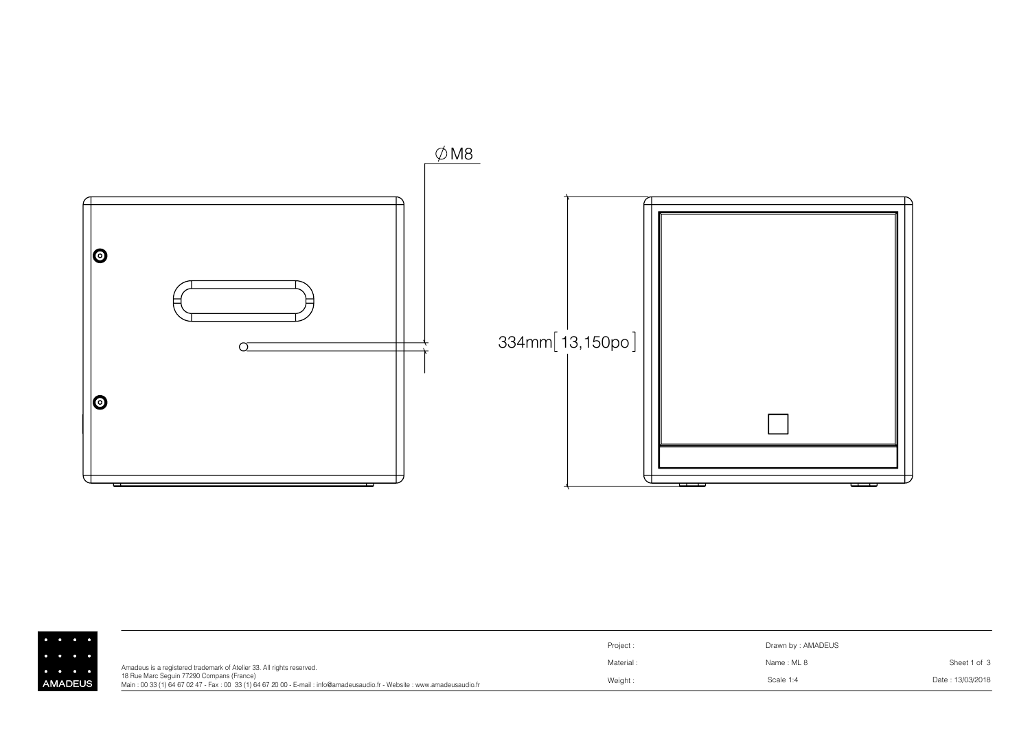

|                               |                                                                                                                                                                     | Project: | Drawn by: AMADEUS |                  |
|-------------------------------|---------------------------------------------------------------------------------------------------------------------------------------------------------------------|----------|-------------------|------------------|
| $\bullet$ $\bullet$ $\bullet$ | Amadeus is a registered trademark of Atelier 33. All rights reserved.                                                                                               | Material | Name: ML 8        | Sheet 1 of 3     |
| <b>AADEUS</b>                 | 18 Rue Marc Sequin 77290 Compans (France)<br>Main: 00 33 (1) 64 67 02 47 - Fax: 00 33 (1) 64 67 20 00 - E-mail: info@amadeusaudio.fr - Website: www.amadeusaudio.fr | Weight:  | Scale 1:4         | Date: 13/03/2018 |

ΑN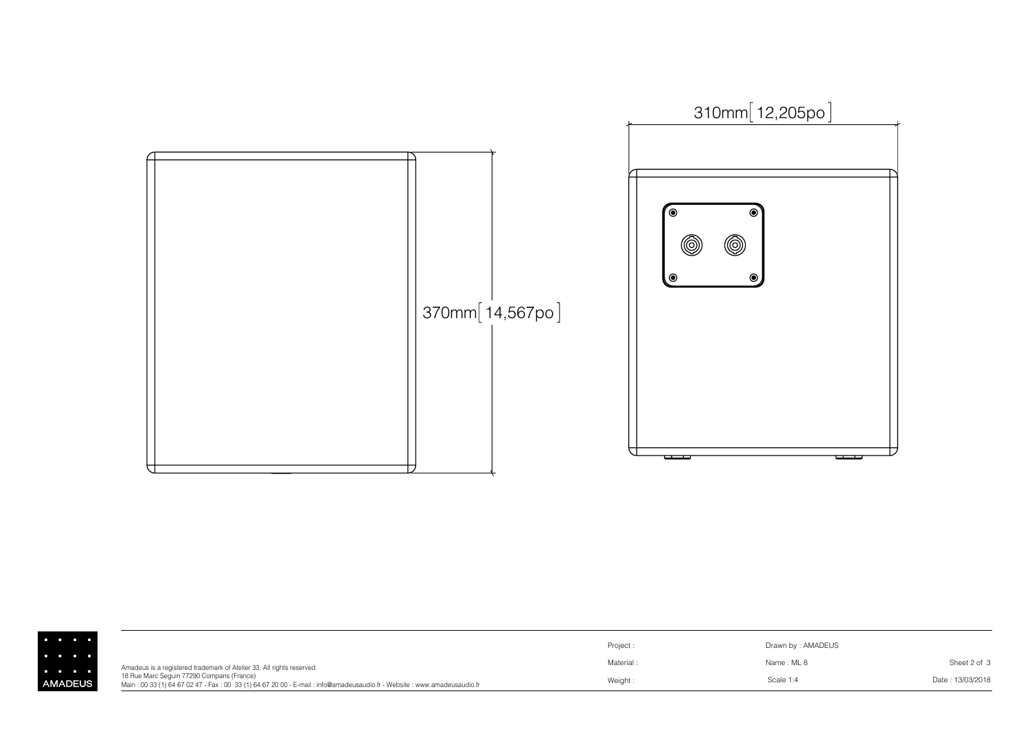

|              |                                                                                                                                                                     | Project:  | Drawn by: AMADEUS |                  |
|--------------|---------------------------------------------------------------------------------------------------------------------------------------------------------------------|-----------|-------------------|------------------|
|              | Amadeus is a registered trademark of Atelier 33. All rights reserved.                                                                                               | Material: | Name: ML 8        | Sheet 2 of 3     |
| <b>ADEUS</b> | 18 Rue Marc Sequin 77290 Compans (France)<br>Main: 00 33 (1) 64 67 02 47 - Fax: 00 33 (1) 64 67 20 00 - E-mail: info@amadeusaudio.fr - Website: www.amadeusaudio.fr | Weight:   | Scale 1:4         | Date: 13/03/2018 |

AM